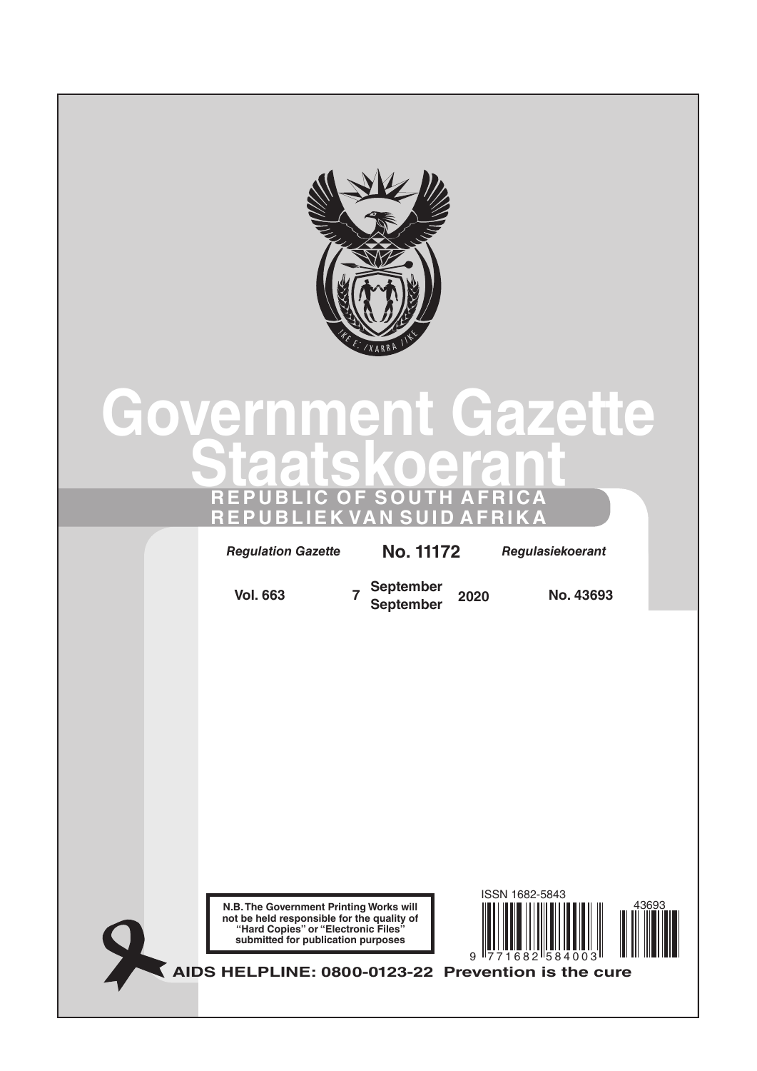

# **Government Gazette Staatskoerant REPUBLIC OF SOUTH AFRICA REPUBLIEK VAN SUID AFRIKA**

*Regulation Gazette* **No. 10177** *Regulasiekoerant Regulation Gazette* **No. 11172** *Regulasiekoerant*

**Vol. 663 <sup>7</sup> September September <sup>2020</sup> No. 43693**

**N.B. The Government Printing Works will not be held responsible for the quality of "Hard Copies" or "Electronic Files" submitted for publication purposes**



**AIDS HELPLINE: 0800-0123-22 Prevention is the cure**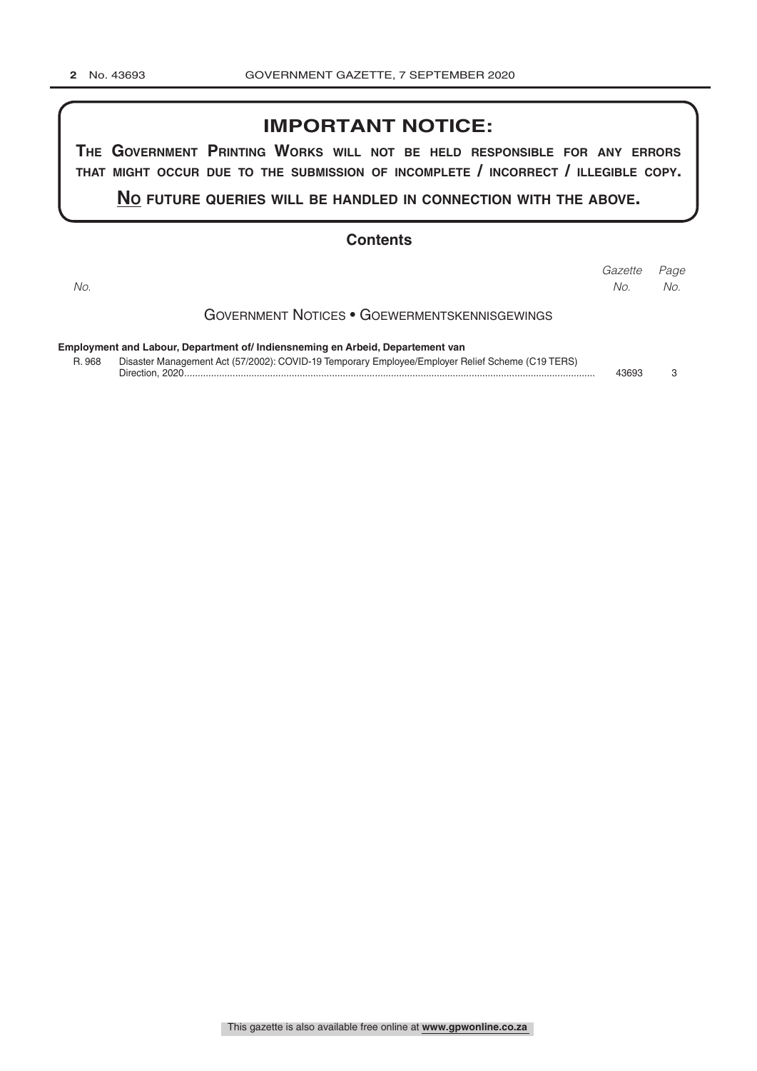## **IMPORTANT NOTICE:**

**The GovernmenT PrinTinG Works Will noT be held resPonsible for any errors ThaT miGhT occur due To The submission of incomPleTe / incorrecT / illeGible coPy.**

**no fuTure queries Will be handled in connecTion WiTh The above.**

#### **Contents**

| No.                                                                            |                                                                                                                     | Gazette<br>No. | Page<br>No. |
|--------------------------------------------------------------------------------|---------------------------------------------------------------------------------------------------------------------|----------------|-------------|
|                                                                                | <b>GOVERNMENT NOTICES • GOEWERMENTSKENNISGEWINGS</b>                                                                |                |             |
| Employment and Labour, Department of/ Indiensneming en Arbeid, Departement van |                                                                                                                     |                |             |
| R. 968                                                                         | Disaster Management Act (57/2002): COVID-19 Temporary Employee/Employer Relief Scheme (C19 TERS)<br>Direction. 2020 | 43693          | ≏           |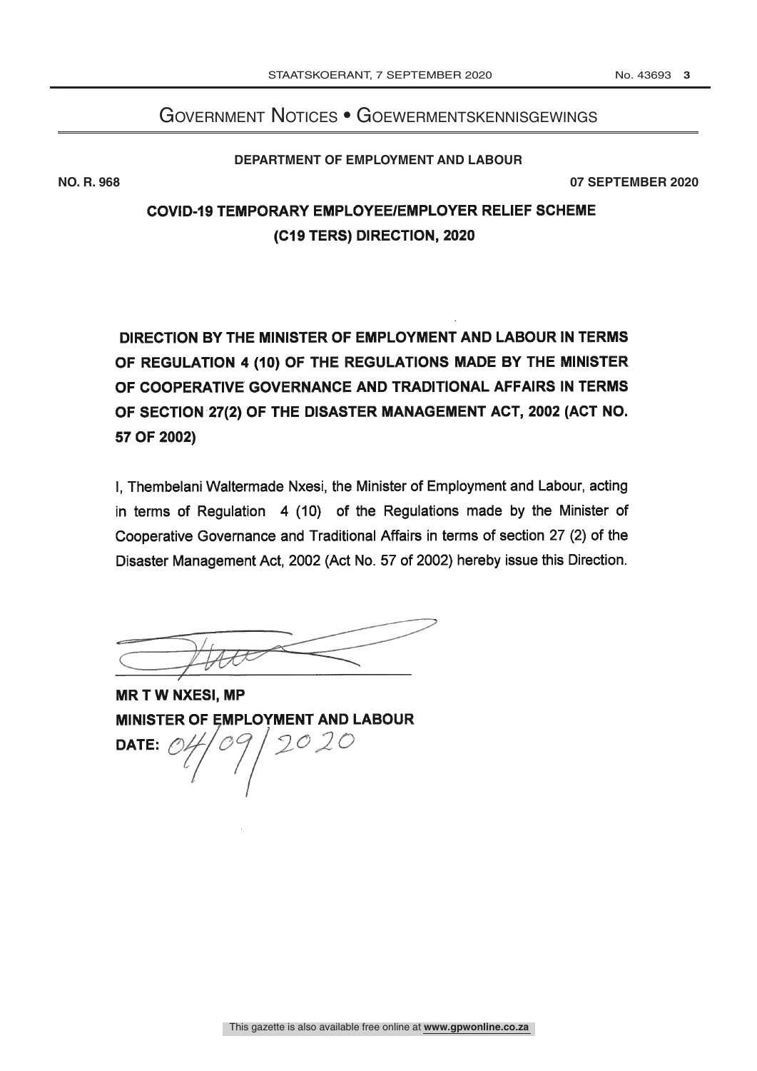## Government Notices • Goewermentskennisgewings

#### **DEPARTMENT OF EMPLOYMENT AND LABOUR**

**NO. R. 968 07 SEPTEMBER 2020**

# **COVID-19 TEMPORARY EMPLOYEE/EMPLOYER RELIEF SCHEME** (C19 TERS) DIRECTION, 2020

DIRECTION BY THE MINISTER OF EMPLOYMENT AND LABOUR IN TERMS OF REGULATION 4 (10) OF THE REGULATIONS MADE BY THE MINISTER OF COOPERATIVE GOVERNANCE AND TRADITIONAL AFFAIRS IN TERMS OF SECTION 27(2) OF THE DISASTER MANAGEMENT ACT, 2002 (ACT NO. 57 OF 2002)

I. Thembelani Waltermade Nxesi, the Minister of Employment and Labour, acting in terms of Regulation 4 (10) of the Regulations made by the Minister of Cooperative Governance and Traditional Affairs in terms of section 27 (2) of the Disaster Management Act, 2002 (Act No. 57 of 2002) hereby issue this Direction.

**MR T W NXESI, MP MINISTER OF EMPLOYMENT AND LABOUR**  $2020$ DATE: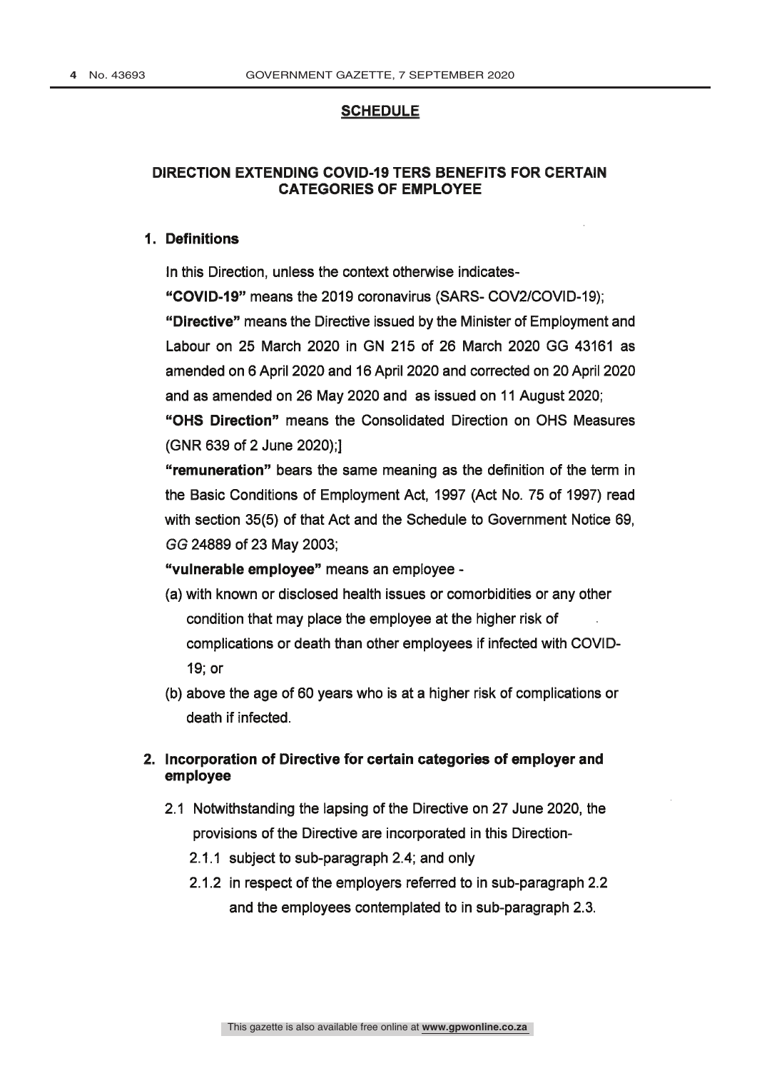#### **SCHEDULE**

### DIRECTION EXTENDING COVID-19 TERS BENEFITS FOR CERTAIN **CATEGORIES OF EMPLOYEE**

#### 1. Definitions

In this Direction, unless the context otherwise indicates-

"COVID-19" means the 2019 coronavirus (SARS- COV2/COVID-19);

"Directive" means the Directive issued by the Minister of Employment and Labour on 25 March 2020 in GN 215 of 26 March 2020 GG 43161 as amended on 6 April 2020 and 16 April 2020 and corrected on 20 April 2020 and as amended on 26 May 2020 and as issued on 11 August 2020;

"OHS Direction" means the Consolidated Direction on OHS Measures (GNR 639 of 2 June 2020):1

"remuneration" bears the same meaning as the definition of the term in the Basic Conditions of Employment Act, 1997 (Act No. 75 of 1997) read with section 35(5) of that Act and the Schedule to Government Notice 69, GG 24889 of 23 May 2003;

"vulnerable employee" means an employee -

- (a) with known or disclosed health issues or comorbidities or any other condition that may place the employee at the higher risk of complications or death than other employees if infected with COVID-19; or
- (b) above the age of 60 years who is at a higher risk of complications or death if infected.

## 2. Incorporation of Directive for certain categories of employer and employee

- 2.1 Notwithstanding the lapsing of the Directive on 27 June 2020, the provisions of the Directive are incorporated in this Direction-
	- 2.1.1 subject to sub-paragraph 2.4; and only
	- 2.1.2 in respect of the employers referred to in sub-paragraph 2.2 and the employees contemplated to in sub-paragraph 2.3.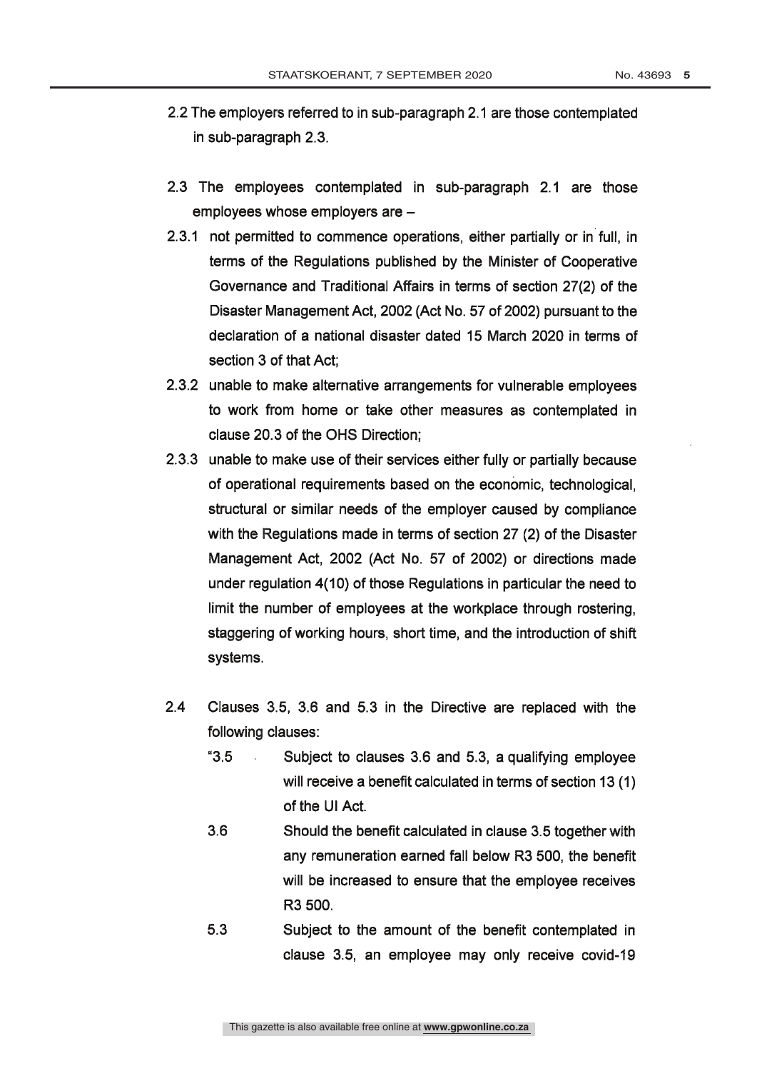- 2.2 The employers referred to in sub-paragraph 2.1 are those contemplated in sub-paragraph 2.3.
- 2.3 The employees contemplated in sub-paragraph 2.1 are those employees whose employers are -
- 2.3.1 not permitted to commence operations, either partially or in full, in terms of the Regulations published by the Minister of Cooperative Governance and Traditional Affairs in terms of section 27(2) of the Disaster Management Act, 2002 (Act No. 57 of 2002) pursuant to the declaration of a national disaster dated 15 March 2020 in terms of section 3 of that Act:
- 2.3.2 unable to make alternative arrangements for vulnerable employees to work from home or take other measures as contemplated in clause 20.3 of the OHS Direction:
- 2.3.3 unable to make use of their services either fully or partially because of operational requirements based on the economic, technological, structural or similar needs of the employer caused by compliance with the Regulations made in terms of section 27 (2) of the Disaster Management Act, 2002 (Act No. 57 of 2002) or directions made under regulation 4(10) of those Regulations in particular the need to limit the number of employees at the workplace through rostering, staggering of working hours, short time, and the introduction of shift systems.
- $2.4$ Clauses 3.5, 3.6 and 5.3 in the Directive are replaced with the following clauses:
	- $"3.5"$ Subject to clauses 3.6 and 5.3, a qualifying employee will receive a benefit calculated in terms of section 13 (1) of the UI Act.
	- $3.6$ Should the benefit calculated in clause 3.5 together with any remuneration earned fall below R3 500, the benefit will be increased to ensure that the employee receives R3 500.
	- $5.3$ Subject to the amount of the benefit contemplated in clause 3.5, an employee may only receive covid-19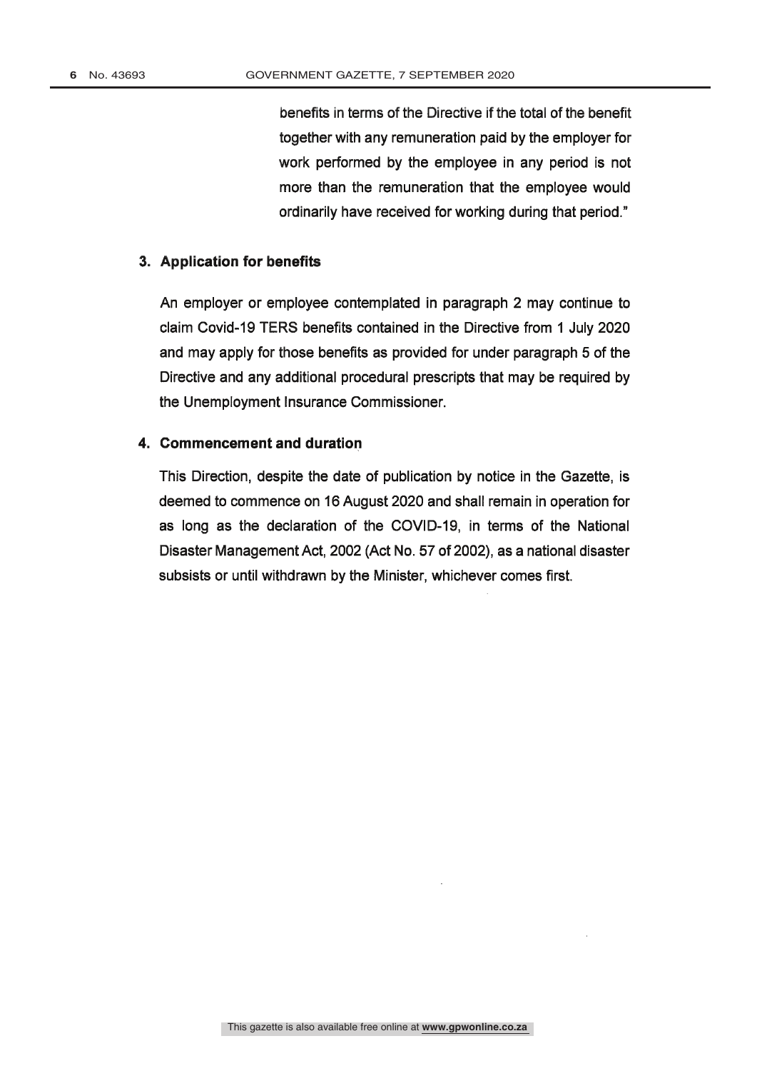benefits in terms of the Directive if the total of the benefit together with any remuneration paid by the employer for work performed by the employee in any period is not more than the remuneration that the employee would ordinarily have received for working during that period."

#### 3. Application for benefits

An employer or employee contemplated in paragraph 2 may continue to claim Covid-19 TERS benefits contained in the Directive from 1 July 2020 and may apply for those benefits as provided for under paragraph 5 of the Directive and any additional procedural prescripts that may be required by the Unemployment Insurance Commissioner.

#### 4. Commencement and duration

This Direction, despite the date of publication by notice in the Gazette, is deemed to commence on 16 August 2020 and shall remain in operation for as long as the declaration of the COVID-19, in terms of the National Disaster Management Act, 2002 (Act No. 57 of 2002), as a national disaster subsists or until withdrawn by the Minister, whichever comes first.